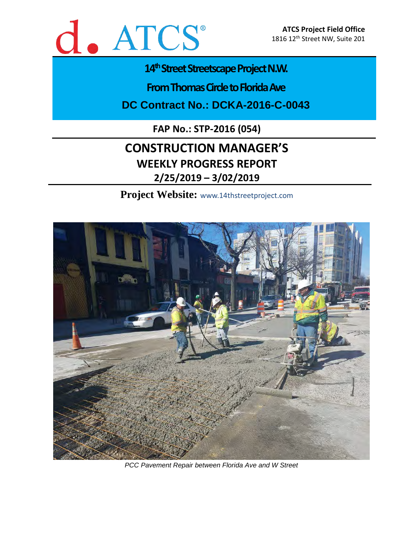

# 14<sup>th</sup> Street Streetscape Project N.W.

**From Thomas Circle to Florida Ave** 

**DC Contract No.: DCKA-2016-C-0043**

**FAP No.: STP-2016 (054)**

# **CONSTRUCTION MANAGER'S WEEKLY PROGRESS REPORT 2/25/2019 – 3/02/2019**

**Project Website:** www.14thstreetproject.com



*PCC Pavement Repair between Florida Ave and W Street*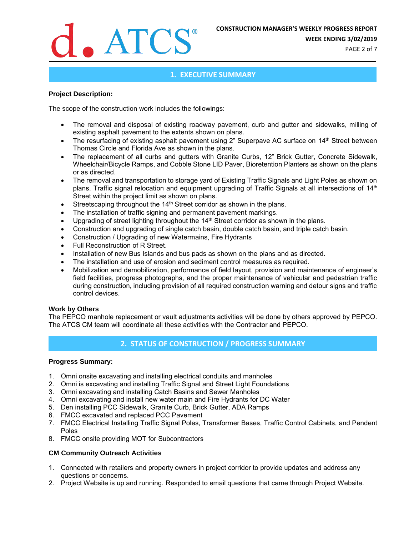

**WEEK ENDING 3/02/2019**

PAGE 2 of 7

# **1. EXECUTIVE SUMMARY**

#### **Project Description:**

The scope of the construction work includes the followings:

- The removal and disposal of existing roadway pavement, curb and gutter and sidewalks, milling of existing asphalt pavement to the extents shown on plans.
- The resurfacing of existing asphalt pavement using 2" Superpave AC surface on 14<sup>th</sup> Street between Thomas Circle and Florida Ave as shown in the plans.
- The replacement of all curbs and gutters with Granite Curbs, 12" Brick Gutter, Concrete Sidewalk, Wheelchair/Bicycle Ramps, and Cobble Stone LID Paver, Bioretention Planters as shown on the plans or as directed.
- The removal and transportation to storage yard of Existing Traffic Signals and Light Poles as shown on plans. Traffic signal relocation and equipment upgrading of Traffic Signals at all intersections of 14<sup>th</sup> Street within the project limit as shown on plans.
- Streetscaping throughout the 14<sup>th</sup> Street corridor as shown in the plans.
- The installation of traffic signing and permanent pavement markings.
- Upgrading of street lighting throughout the 14<sup>th</sup> Street corridor as shown in the plans.
- Construction and upgrading of single catch basin, double catch basin, and triple catch basin.
- Construction / Upgrading of new Watermains, Fire Hydrants
- Full Reconstruction of R Street.
- Installation of new Bus Islands and bus pads as shown on the plans and as directed.
- The installation and use of erosion and sediment control measures as required.
- Mobilization and demobilization, performance of field layout, provision and maintenance of engineer's field facilities, progress photographs, and the proper maintenance of vehicular and pedestrian traffic during construction, including provision of all required construction warning and detour signs and traffic control devices.

#### **Work by Others**

The PEPCO manhole replacement or vault adjustments activities will be done by others approved by PEPCO. The ATCS CM team will coordinate all these activities with the Contractor and PEPCO.

# **2. STATUS OF CONSTRUCTION / PROGRESS SUMMARY**

#### **Progress Summary:**

- 1. Omni onsite excavating and installing electrical conduits and manholes
- 2. Omni is excavating and installing Traffic Signal and Street Light Foundations
- 3. Omni excavating and installing Catch Basins and Sewer Manholes
- 4. Omni excavating and install new water main and Fire Hydrants for DC Water
- 5. Den installing PCC Sidewalk, Granite Curb, Brick Gutter, ADA Ramps
- 6. FMCC excavated and replaced PCC Pavement
- 7. FMCC Electrical Installing Traffic Signal Poles, Transformer Bases, Traffic Control Cabinets, and Pendent Poles
- 8. FMCC onsite providing MOT for Subcontractors

#### **CM Community Outreach Activities**

- 1. Connected with retailers and property owners in project corridor to provide updates and address any questions or concerns.
- 2. Project Website is up and running. Responded to email questions that came through Project Website.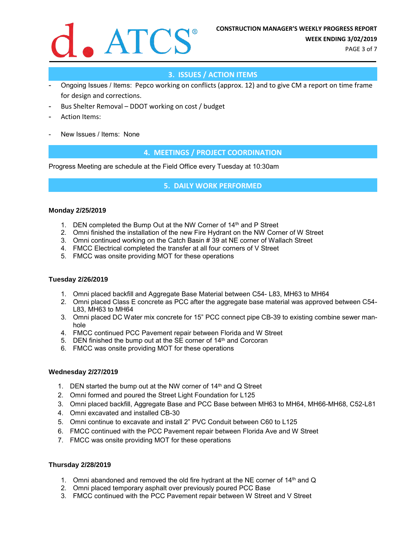

PAGE 3 of 7

# **3. ISSUES / ACTION ITEMS**

- Ongoing Issues / Items: Pepco working on conflicts (approx. 12) and to give CM a report on time frame for design and corrections.
- Bus Shelter Removal DDOT working on cost / budget
- Action Items:
- New Issues / Items: None

# **4. MEETINGS / PROJECT COORDINATION**

Progress Meeting are schedule at the Field Office every Tuesday at 10:30am

**5. DAILY WORK PERFORMED**

#### **Monday 2/25/2019**

- 1. DEN completed the Bump Out at the NW Corner of 14th and P Street
- 2. Omni finished the installation of the new Fire Hydrant on the NW Corner of W Street
- 3. Omni continued working on the Catch Basin # 39 at NE corner of Wallach Street
- 4. FMCC Electrical completed the transfer at all four corners of V Street
- 5. FMCC was onsite providing MOT for these operations

#### **Tuesday 2/26/2019**

- 1. Omni placed backfill and Aggregate Base Material between C54- L83, MH63 to MH64
- 2. Omni placed Class E concrete as PCC after the aggregate base material was approved between C54- L83, MH63 to MH64
- 3. Omni placed DC Water mix concrete for 15" PCC connect pipe CB-39 to existing combine sewer manhole
- 4. FMCC continued PCC Pavement repair between Florida and W Street
- 5. DEN finished the bump out at the SE corner of  $14<sup>th</sup>$  and Corcoran
- 6. FMCC was onsite providing MOT for these operations

#### **Wednesday 2/27/2019**

- 1. DEN started the bump out at the NW corner of  $14<sup>th</sup>$  and Q Street
- 2. Omni formed and poured the Street Light Foundation for L125
- 3. Omni placed backfill, Aggregate Base and PCC Base between MH63 to MH64, MH66-MH68, C52-L81
- 4. Omni excavated and installed CB-30
- 5. Omni continue to excavate and install 2" PVC Conduit between C60 to L125
- 6. FMCC continued with the PCC Pavement repair between Florida Ave and W Street
- 7. FMCC was onsite providing MOT for these operations

#### **Thursday 2/28/2019**

- 1. Omni abandoned and removed the old fire hydrant at the NE corner of  $14<sup>th</sup>$  and Q
- 2. Omni placed temporary asphalt over previously poured PCC Base
- 3. FMCC continued with the PCC Pavement repair between W Street and V Street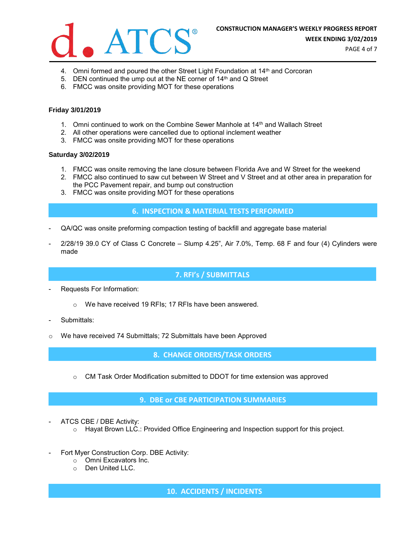

PAGE 4 of 7

- 4. Omni formed and poured the other Street Light Foundation at 14<sup>th</sup> and Corcoran
- 5. DEN continued the ump out at the NE corner of  $14<sup>th</sup>$  and Q Street
- 6. FMCC was onsite providing MOT for these operations

#### **Friday 3/01/2019**

- 1. Omni continued to work on the Combine Sewer Manhole at  $14<sup>th</sup>$  and Wallach Street
- 2. All other operations were cancelled due to optional inclement weather
- 3. FMCC was onsite providing MOT for these operations

#### **Saturday 3/02/2019**

- 1. FMCC was onsite removing the lane closure between Florida Ave and W Street for the weekend
- 2. FMCC also continued to saw cut between W Street and V Street and at other area in preparation for the PCC Pavement repair, and bump out construction
- 3. FMCC was onsite providing MOT for these operations

#### **6. INSPECTION & MATERIAL TESTS PERFORMED**

- QA/QC was onsite preforming compaction testing of backfill and aggregate base material
- 2/28/19 39.0 CY of Class C Concrete Slump 4.25", Air 7.0%, Temp. 68 F and four (4) Cylinders were made

## **7. RFI's / SUBMITTALS**

- Requests For Information:
	- o We have received 19 RFIs; 17 RFIs have been answered.
- Submittals:
- o We have received 74 Submittals; 72 Submittals have been Approved

**8. CHANGE ORDERS/TASK ORDERS**

 $\circ$  CM Task Order Modification submitted to DDOT for time extension was approved

## **9. DBE or CBE PARTICIPATION SUMMARIES**

- ATCS CBE / DBE Activity:
	- $\circ$  Hayat Brown LLC.: Provided Office Engineering and Inspection support for this project.
- Fort Myer Construction Corp. DBE Activity:
	- o Omni Excavators Inc.
	- o Den United LLC.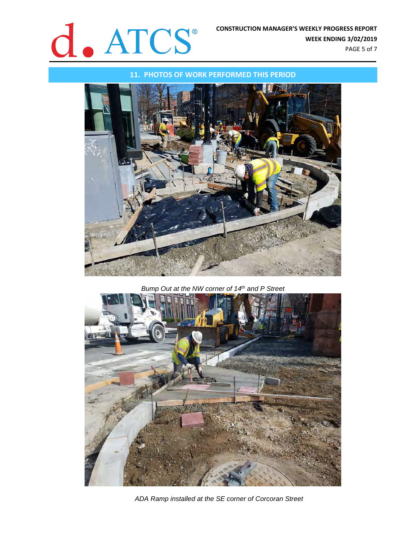

**11. PHOTOS OF WORK PERFORMED THIS PERIOD**



*Bump Out at the NW corner of 14th and P Street*



*ADA Ramp installed at the SE corner of Corcoran Street*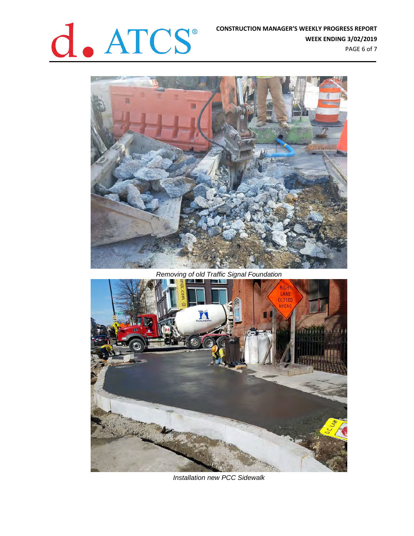



*Removing of old Traffic Signal Foundation*



*Installation new PCC Sidewalk*